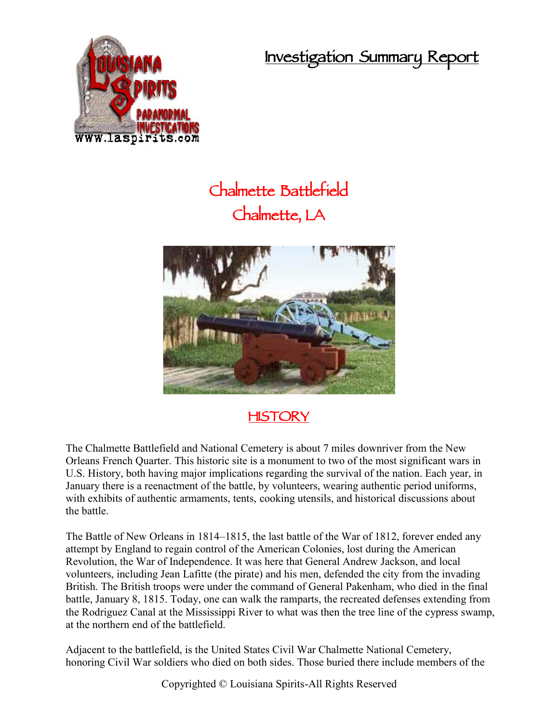**Investigation Summary Report**



## **Chalmette Battlefield Chalmette, LA**



## **HISTORY**

The Chalmette Battlefield and National Cemetery is about 7 miles downriver from the New Orleans French Quarter. This historic site is a monument to two of the most significant wars in U.S. History, both having major implications regarding the survival of the nation. Each year, in January there is a reenactment of the battle, by volunteers, wearing authentic period uniforms, with exhibits of authentic armaments, tents, cooking utensils, and historical discussions about the battle.

The Battle of New Orleans in 1814–1815, the last battle of the War of 1812, forever ended any attempt by England to regain control of the American Colonies, lost during the American Revolution, the War of Independence. It was here that General Andrew Jackson, and local volunteers, including Jean Lafitte (the pirate) and his men, defended the city from the invading British. The British troops were under the command of General Pakenham, who died in the final battle, January 8, 1815. Today, one can walk the ramparts, the recreated defenses extending from the Rodriguez Canal at the Mississippi River to what was then the tree line of the cypress swamp, at the northern end of the battlefield.

Adjacent to the battlefield, is the United States Civil War Chalmette National Cemetery, honoring Civil War soldiers who died on both sides. Those buried there include members of the

Copyrighted © Louisiana Spirits-All Rights Reserved